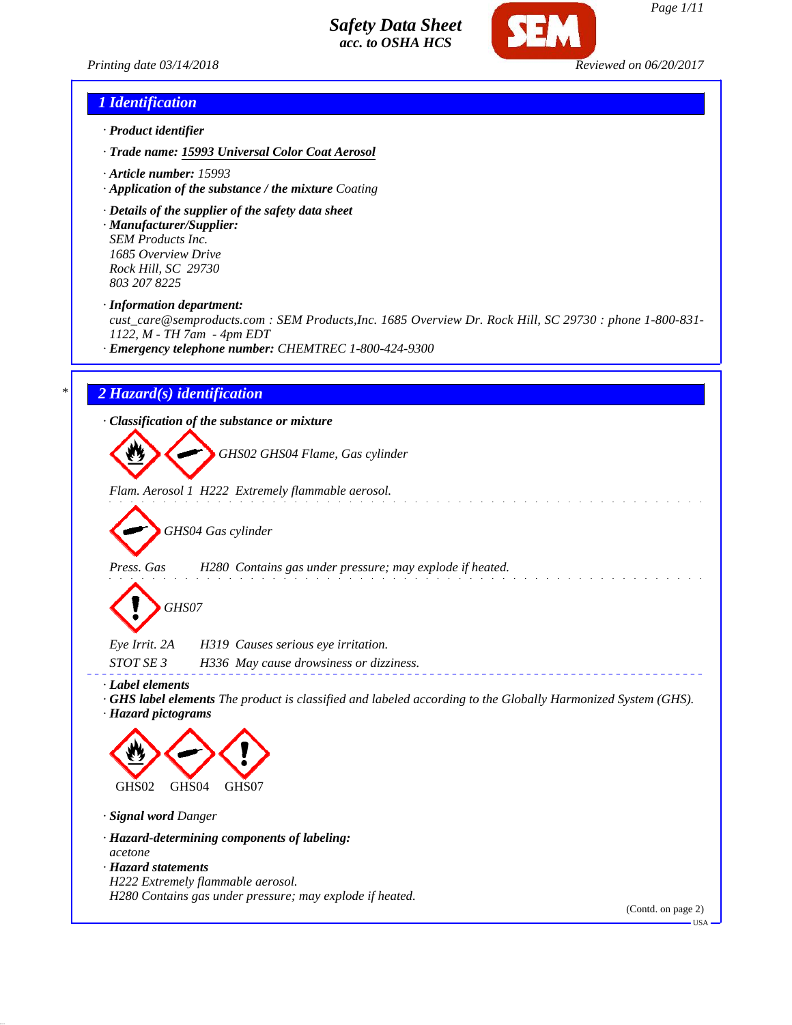

*Printing date 03/14/2018 Reviewed on 06/20/2017*

## *1 Identification*

- *· Product identifier*
- *· Trade name: 15993 Universal Color Coat Aerosol*
- *· Article number: 15993*
- *· Application of the substance / the mixture Coating*
- *· Details of the supplier of the safety data sheet*
- *· Manufacturer/Supplier: SEM Products Inc. 1685 Overview Drive Rock Hill, SC 29730 803 207 8225*
- *· Information department:*

*cust\_care@semproducts.com : SEM Products,Inc. 1685 Overview Dr. Rock Hill, SC 29730 : phone 1-800-831- 1122, M - TH 7am - 4pm EDT*

*· Emergency telephone number: CHEMTREC 1-800-424-9300*

## *\* 2 Hazard(s) identification*

*· Classification of the substance or mixture*

*GHS02 GHS04 Flame, Gas cylinder*

*Flam. Aerosol 1 H222 Extremely flammable aerosol.*



*Press. Gas H280 Contains gas under pressure; may explode if heated.*

*GHS07*

| Eye Irrit. 2A    | H319 Causes serious eye irritation.     |  |
|------------------|-----------------------------------------|--|
| <i>STOT SE 3</i> | H336 May cause drowsiness or dizziness. |  |

*· Label elements*

- *· GHS label elements The product is classified and labeled according to the Globally Harmonized System (GHS).*
- *· Hazard pictograms*



- *· Signal word Danger*
- *· Hazard-determining components of labeling: acetone · Hazard statements*
- *H222 Extremely flammable aerosol. H280 Contains gas under pressure; may explode if heated.*

(Contd. on page 2)

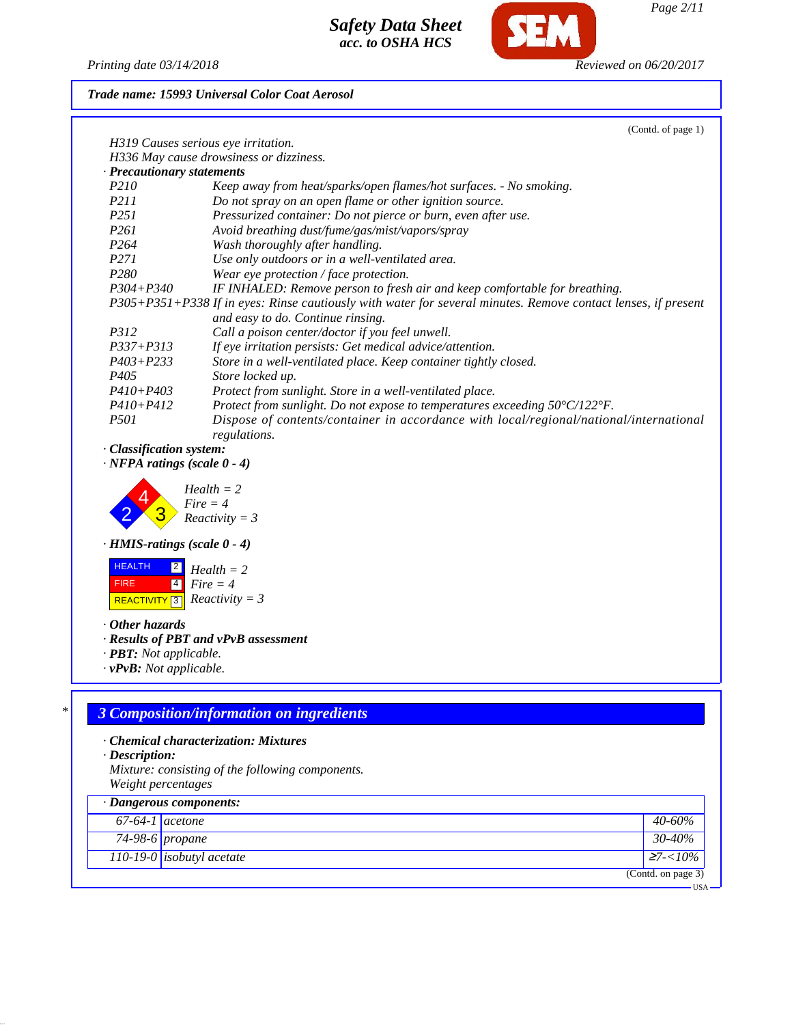

*Page 2/11*

 $-<sub>USA</sub>$ 

*Printing date 03/14/2018 Reviewed on 06/20/2017*

*Trade name: 15993 Universal Color Coat Aerosol*

|                                                                | (Contd. of page 1)                                                                                                                                 |
|----------------------------------------------------------------|----------------------------------------------------------------------------------------------------------------------------------------------------|
|                                                                | H319 Causes serious eye irritation.                                                                                                                |
|                                                                | H336 May cause drowsiness or dizziness.                                                                                                            |
| · Precautionary statements                                     |                                                                                                                                                    |
| P210                                                           | Keep away from heat/sparks/open flames/hot surfaces. - No smoking.                                                                                 |
| P211                                                           | Do not spray on an open flame or other ignition source.                                                                                            |
| P251                                                           | Pressurized container: Do not pierce or burn, even after use.                                                                                      |
| P <sub>261</sub>                                               | Avoid breathing dust/fume/gas/mist/vapors/spray                                                                                                    |
| P <sub>264</sub>                                               | Wash thoroughly after handling.                                                                                                                    |
| P271                                                           | Use only outdoors or in a well-ventilated area.                                                                                                    |
| P <sub>280</sub>                                               | Wear eye protection / face protection.                                                                                                             |
| $P304 + P340$                                                  | IF INHALED: Remove person to fresh air and keep comfortable for breathing.                                                                         |
|                                                                | P305+P351+P338 If in eyes: Rinse cautiously with water for several minutes. Remove contact lenses, if present<br>and easy to do. Continue rinsing. |
| P312                                                           | Call a poison center/doctor if you feel unwell.                                                                                                    |
| P337+P313                                                      | If eye irritation persists: Get medical advice/attention.                                                                                          |
| $P403 + P233$                                                  | Store in a well-ventilated place. Keep container tightly closed.                                                                                   |
| P405                                                           | Store locked up.                                                                                                                                   |
| $P410 + P403$                                                  | Protect from sunlight. Store in a well-ventilated place.                                                                                           |
| $P410 + P412$                                                  | Protect from sunlight. Do not expose to temperatures exceeding 50°C/122°F.                                                                         |
| <i>P501</i>                                                    | Dispose of contents/container in accordance with local/regional/national/international<br>regulations.                                             |
| · Classification system:<br>$\cdot$ NFPA ratings (scale 0 - 4) |                                                                                                                                                    |
|                                                                | $Health = 2$<br>$Fire = 4$                                                                                                                         |
|                                                                | $Reactivity = 3$                                                                                                                                   |
| $\cdot$ HMIS-ratings (scale 0 - 4)                             |                                                                                                                                                    |
| <b>HEALTH</b><br>$\boxed{2}$                                   | $Health = 2$                                                                                                                                       |
| $\vert 4 \vert$<br><b>FIRE</b>                                 | $Fire = 4$                                                                                                                                         |
| <b>REACTIVITY</b> 3                                            | $Reactivity = 3$                                                                                                                                   |
| $\cdot$ Other hazards                                          |                                                                                                                                                    |
|                                                                | · Results of PBT and vPvB assessment                                                                                                               |
| · <b>PBT</b> : Not applicable.                                 |                                                                                                                                                    |
| $\cdot v$ PvB: Not applicable.                                 |                                                                                                                                                    |
|                                                                |                                                                                                                                                    |
|                                                                | <b>3 Composition/information on ingredients</b>                                                                                                    |
|                                                                |                                                                                                                                                    |
|                                                                | · Chemical characterization: Mixtures                                                                                                              |
| $\cdot$ Description:                                           | Mixture: consisting of the following components.                                                                                                   |
|                                                                |                                                                                                                                                    |

|                           | Weight percentages               |                 |  |
|---------------------------|----------------------------------|-----------------|--|
| · Dangerous components:   |                                  |                 |  |
| $\sqrt{67}$ -64-1 acetone |                                  | 40-60%          |  |
|                           | 74-98-6 propane                  | 30-40%          |  |
|                           | 110-19-0 <i>isobutyl acetate</i> | $\sum 7 - 10\%$ |  |
| (Contd. on page 3)        |                                  |                 |  |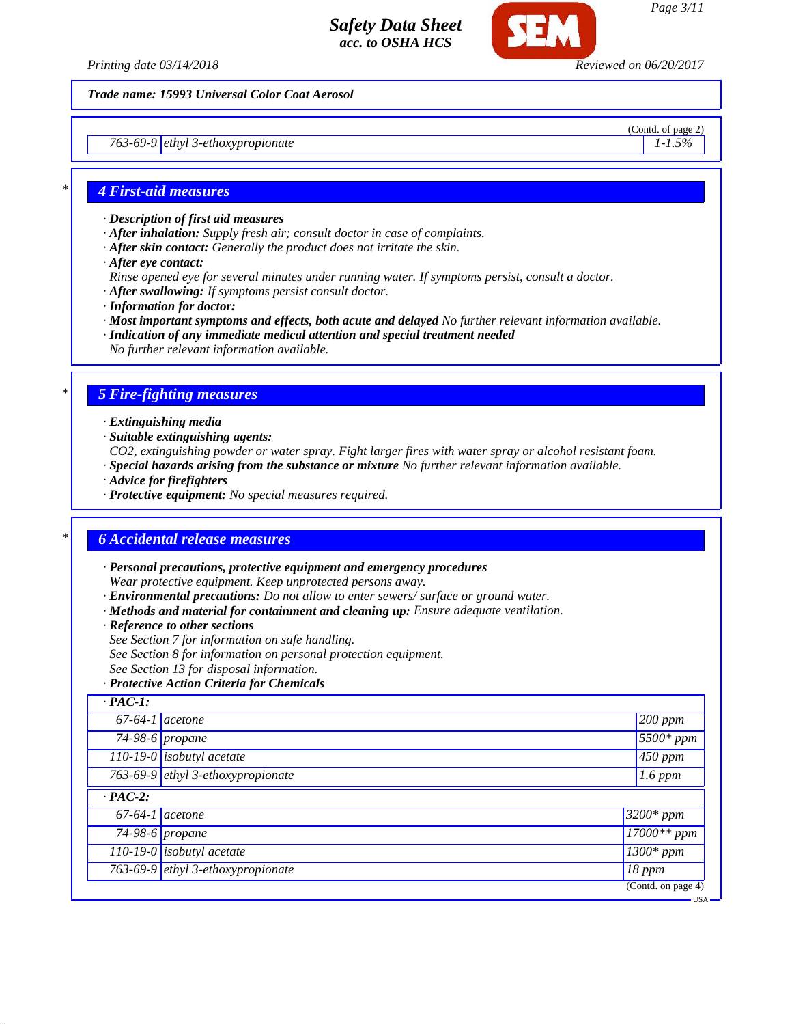

*Trade name: 15993 Universal Color Coat Aerosol*

*763-69-9 ethyl 3-ethoxypropionate 1-1.5%*

(Contd. of page 2)

#### *\* 4 First-aid measures*

- *· Description of first aid measures*
- *· After inhalation: Supply fresh air; consult doctor in case of complaints.*
- *· After skin contact: Generally the product does not irritate the skin.*
- *· After eye contact:*
- *Rinse opened eye for several minutes under running water. If symptoms persist, consult a doctor.*
- *· After swallowing: If symptoms persist consult doctor.*
- *· Information for doctor:*
- *· Most important symptoms and effects, both acute and delayed No further relevant information available.*
- *· Indication of any immediate medical attention and special treatment needed*
- *No further relevant information available.*

## *\* 5 Fire-fighting measures*

- *· Extinguishing media*
- *· Suitable extinguishing agents:*
- *CO2, extinguishing powder or water spray. Fight larger fires with water spray or alcohol resistant foam.*
- *· Special hazards arising from the substance or mixture No further relevant information available.*
- *· Advice for firefighters*
- *· Protective equipment: No special measures required.*

#### *\* 6 Accidental release measures*

- *· Personal precautions, protective equipment and emergency procedures Wear protective equipment. Keep unprotected persons away.*
- *· Environmental precautions: Do not allow to enter sewers/ surface or ground water.*
- *· Methods and material for containment and cleaning up: Ensure adequate ventilation.*
- *· Reference to other sections*
- *See Section 7 for information on safe handling.*
- *See Section 8 for information on personal protection equipment.*
- *See Section 13 for disposal information.*
- *· Protective Action Criteria for Chemicals*

| $\cdot$ PAC-1:    |                                   |                                |
|-------------------|-----------------------------------|--------------------------------|
|                   | $67-64-1$ acetone                 | $\sqrt{200}$ ppm               |
|                   | $74-98-6$ propane                 | 5500* ppm                      |
|                   | 110-19-0 isobutyl acetate         | $450$ ppm                      |
|                   | 763-69-9 ethyl 3-ethoxypropionate | $1.6$ ppm                      |
| $\cdot$ PAC-2:    |                                   |                                |
| $67-64-1$ acetone |                                   | $3200*$ ppm                    |
|                   | 74-98-6 propane                   | $\frac{17000*}{ppm}$           |
|                   | $110-19-0$ isobutyl acetate       | $1300*$ ppm                    |
|                   | 763-69-9 ethyl 3-ethoxypropionate | $18$ ppm                       |
|                   |                                   | $\overline{(Cond. on page 4)}$ |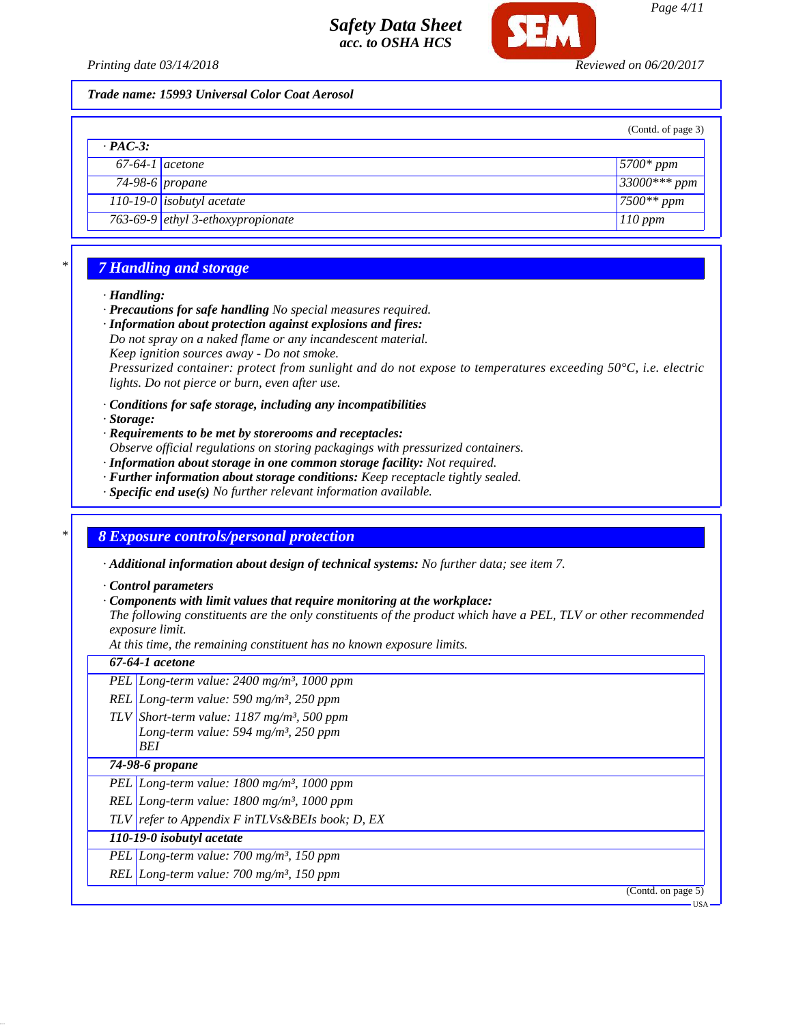

*Printing date 03/14/2018 Reviewed on 06/20/2017*

#### *Trade name: 15993 Universal Color Coat Aerosol*

|                   |                                            | (Contd. of page 3)    |
|-------------------|--------------------------------------------|-----------------------|
| $\cdot$ PAC-3:    |                                            |                       |
| $67-64-1$ acetone |                                            | $\frac{5700*}{2}$ ppm |
|                   | $74-98-6$ propane                          | $33000***$ ppm        |
|                   | $110-19-0$ isobutyl acetate                | $7500**$ ppm          |
|                   | 763-69-9 $\left $ ethyl 3-ethoxypropionate | $110$ ppm             |

## *\* 7 Handling and storage*

#### *· Handling:*

- *· Precautions for safe handling No special measures required.*
- *· Information about protection against explosions and fires: Do not spray on a naked flame or any incandescent material.*
- *Keep ignition sources away Do not smoke.*

*Pressurized container: protect from sunlight and do not expose to temperatures exceeding 50°C, i.e. electric lights. Do not pierce or burn, even after use.*

- *· Conditions for safe storage, including any incompatibilities*
- *· Storage:*
- *· Requirements to be met by storerooms and receptacles:*
- *Observe official regulations on storing packagings with pressurized containers.*
- *· Information about storage in one common storage facility: Not required.*
- *· Further information about storage conditions: Keep receptacle tightly sealed.*
- *· Specific end use(s) No further relevant information available.*

## *\* 8 Exposure controls/personal protection*

*· Additional information about design of technical systems: No further data; see item 7.*

*· Control parameters*

*· Components with limit values that require monitoring at the workplace:*

*The following constituents are the only constituents of the product which have a PEL, TLV or other recommended exposure limit.*

*At this time, the remaining constituent has no known exposure limits.*

| 67-64-1 <i>acetone</i>                                                                                                     |
|----------------------------------------------------------------------------------------------------------------------------|
| PEL Long-term value: $2400$ mg/m <sup>3</sup> , 1000 ppm                                                                   |
| REL Long-term value: 590 mg/m <sup>3</sup> , 250 ppm                                                                       |
| TLV Short-term value: $1187$ mg/m <sup>3</sup> , 500 ppm<br>Long-term value: 594 mg/m <sup>3</sup> , 250 ppm<br><b>BEI</b> |
| 74-98-6 propane                                                                                                            |
| PEL Long-term value: $1800$ mg/m <sup>3</sup> , 1000 ppm                                                                   |
| REL Long-term value: $1800$ mg/m <sup>3</sup> , $1000$ ppm                                                                 |
| $TLV$ refer to Appendix F in $TLVs$ &BEIs book; D, EX                                                                      |
| 110-19-0 isobutyl acetate                                                                                                  |
| PEL Long-term value: $700 \text{ mg/m}^3$ , 150 ppm                                                                        |
| REL Long-term value: $700$ mg/m <sup>3</sup> , 150 ppm                                                                     |
| (Contd. on page 5)                                                                                                         |
| • USA                                                                                                                      |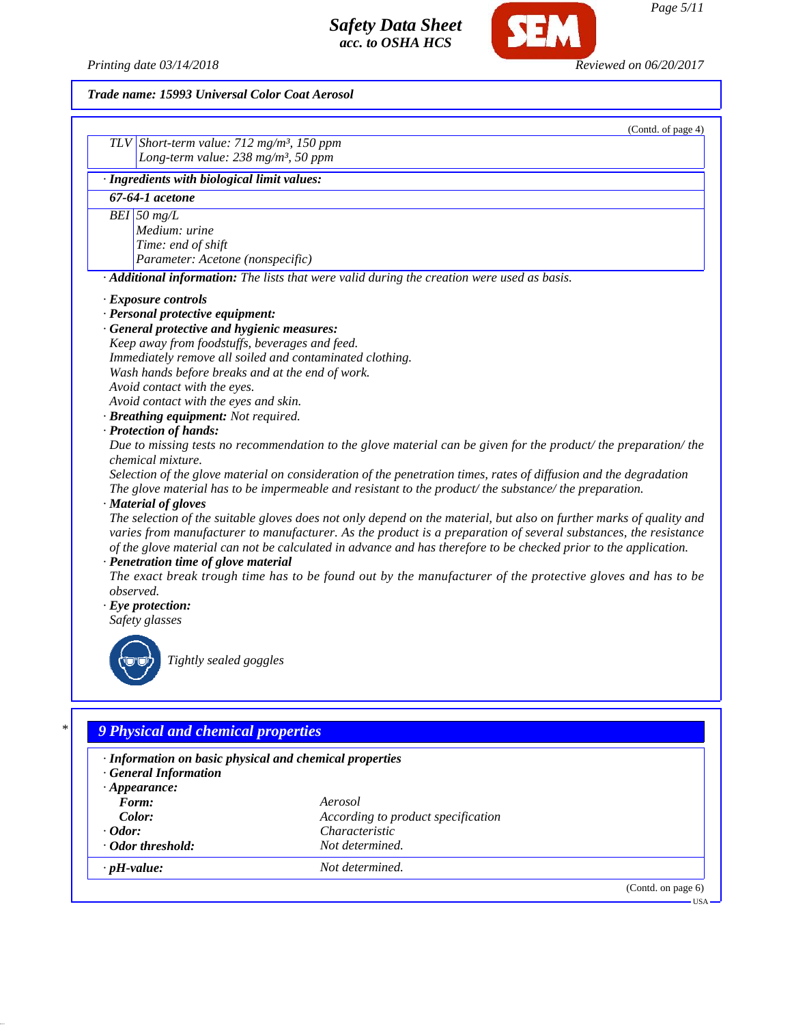*Printing date 03/14/2018 Reviewed on 06/20/2017*

SEM

## *Trade name: 15993 Universal Color Coat Aerosol*

|           | (Contd. of page 4)                                                                                                                                                                                                                                                                                                                                                                                 |
|-----------|----------------------------------------------------------------------------------------------------------------------------------------------------------------------------------------------------------------------------------------------------------------------------------------------------------------------------------------------------------------------------------------------------|
|           | TLV Short-term value: $712$ mg/m <sup>3</sup> , 150 ppm                                                                                                                                                                                                                                                                                                                                            |
|           | Long-term value: $238$ mg/m <sup>3</sup> , 50 ppm                                                                                                                                                                                                                                                                                                                                                  |
|           | · Ingredients with biological limit values:                                                                                                                                                                                                                                                                                                                                                        |
|           | 67-64-1 acetone                                                                                                                                                                                                                                                                                                                                                                                    |
|           | BEI 50 $mg/L$                                                                                                                                                                                                                                                                                                                                                                                      |
|           | Medium: urine                                                                                                                                                                                                                                                                                                                                                                                      |
|           | Time: end of shift                                                                                                                                                                                                                                                                                                                                                                                 |
|           | Parameter: Acetone (nonspecific)                                                                                                                                                                                                                                                                                                                                                                   |
|           | · Additional information: The lists that were valid during the creation were used as basis.                                                                                                                                                                                                                                                                                                        |
|           | · Exposure controls                                                                                                                                                                                                                                                                                                                                                                                |
|           | · Personal protective equipment:                                                                                                                                                                                                                                                                                                                                                                   |
|           | · General protective and hygienic measures:                                                                                                                                                                                                                                                                                                                                                        |
|           | Keep away from foodstuffs, beverages and feed.                                                                                                                                                                                                                                                                                                                                                     |
|           | Immediately remove all soiled and contaminated clothing.                                                                                                                                                                                                                                                                                                                                           |
|           | Wash hands before breaks and at the end of work.                                                                                                                                                                                                                                                                                                                                                   |
|           | Avoid contact with the eyes.                                                                                                                                                                                                                                                                                                                                                                       |
|           | Avoid contact with the eyes and skin.                                                                                                                                                                                                                                                                                                                                                              |
|           | · Breathing equipment: Not required.                                                                                                                                                                                                                                                                                                                                                               |
|           | · Protection of hands:                                                                                                                                                                                                                                                                                                                                                                             |
|           | Due to missing tests no recommendation to the glove material can be given for the product/ the preparation/ the                                                                                                                                                                                                                                                                                    |
|           | <i>chemical mixture.</i>                                                                                                                                                                                                                                                                                                                                                                           |
|           | Selection of the glove material on consideration of the penetration times, rates of diffusion and the degradation<br>The glove material has to be impermeable and resistant to the product/the substance/the preparation.                                                                                                                                                                          |
|           | · Material of gloves                                                                                                                                                                                                                                                                                                                                                                               |
|           | The selection of the suitable gloves does not only depend on the material, but also on further marks of quality and<br>varies from manufacturer to manufacturer. As the product is a preparation of several substances, the resistance<br>of the glove material can not be calculated in advance and has therefore to be checked prior to the application.<br>· Penetration time of glove material |
| observed. | The exact break trough time has to be found out by the manufacturer of the protective gloves and has to be                                                                                                                                                                                                                                                                                         |
|           | $\cdot$ Eye protection:                                                                                                                                                                                                                                                                                                                                                                            |
|           | Safety glasses                                                                                                                                                                                                                                                                                                                                                                                     |
|           | Tightly sealed goggles                                                                                                                                                                                                                                                                                                                                                                             |
|           |                                                                                                                                                                                                                                                                                                                                                                                                    |

| · Information on basic physical and chemical properties<br>· General Information |                                    |  |
|----------------------------------------------------------------------------------|------------------------------------|--|
| $\cdot$ Appearance:                                                              |                                    |  |
| Form:                                                                            | Aerosol                            |  |
| Color:                                                                           | According to product specification |  |
| $\cdot$ Odor:                                                                    | Characteristic                     |  |
| · Odor threshold:                                                                | Not determined.                    |  |
| $\cdot$ pH-value:                                                                | Not determined.                    |  |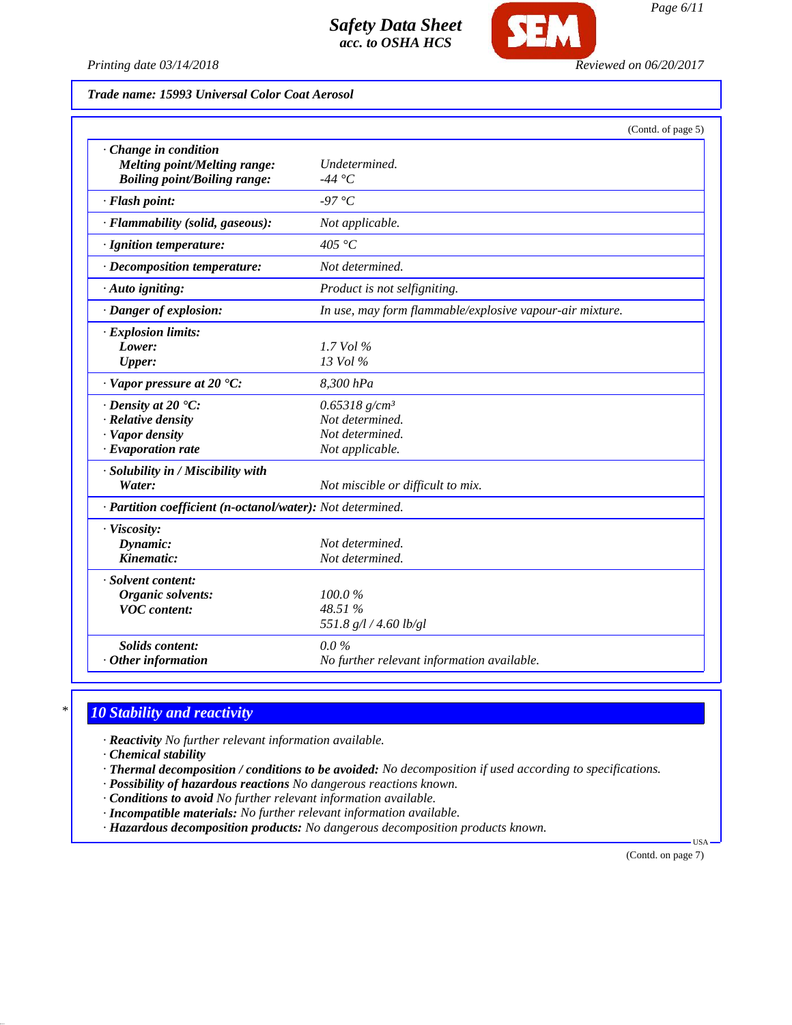

SE

*Page 6/11*

#### *Trade name: 15993 Universal Color Coat Aerosol*

|                                                                                                             | (Contd. of page 5)                                                                   |
|-------------------------------------------------------------------------------------------------------------|--------------------------------------------------------------------------------------|
| $\cdot$ Change in condition<br>Melting point/Melting range:<br><b>Boiling point/Boiling range:</b>          | Undetermined.<br>-44 °C                                                              |
| · Flash point:                                                                                              | -97 °C                                                                               |
| · Flammability (solid, gaseous):                                                                            | Not applicable.                                                                      |
| · Ignition temperature:                                                                                     | 405 °C                                                                               |
| · Decomposition temperature:                                                                                | Not determined.                                                                      |
| · Auto igniting:                                                                                            | Product is not selfigniting.                                                         |
| · Danger of explosion:                                                                                      | In use, may form flammable/explosive vapour-air mixture.                             |
| · Explosion limits:<br>Lower:<br><b>Upper:</b>                                                              | $1.7$ Vol $\%$<br>$13$ Vol $\%$                                                      |
| $\cdot$ Vapor pressure at 20 $\textdegree$ C:                                                               | 8,300 hPa                                                                            |
| $\cdot$ Density at 20 $\textdegree$ C:<br>· Relative density<br>· Vapor density<br>$\cdot$ Evaporation rate | $0.65318$ g/cm <sup>3</sup><br>Not determined.<br>Not determined.<br>Not applicable. |
| · Solubility in / Miscibility with<br>Water:                                                                | Not miscible or difficult to mix.                                                    |
| · Partition coefficient (n-octanol/water): Not determined.                                                  |                                                                                      |
| · Viscosity:<br>Dynamic:<br>Kinematic:                                                                      | Not determined.<br>Not determined.                                                   |
| · Solvent content:<br>Organic solvents:<br><b>VOC</b> content:                                              | 100.0%<br>48.51 %<br>551.8 g/l / 4.60 lb/gl                                          |
| <b>Solids content:</b><br>$·$ Other information                                                             | $0.0\%$<br>No further relevant information available.                                |

## *\* 10 Stability and reactivity*

*· Reactivity No further relevant information available.*

*· Chemical stability*

- *· Thermal decomposition / conditions to be avoided: No decomposition if used according to specifications.*
- *· Possibility of hazardous reactions No dangerous reactions known.*
- *· Conditions to avoid No further relevant information available.*
- *· Incompatible materials: No further relevant information available.*
- *· Hazardous decomposition products: No dangerous decomposition products known.*

(Contd. on page 7)

USA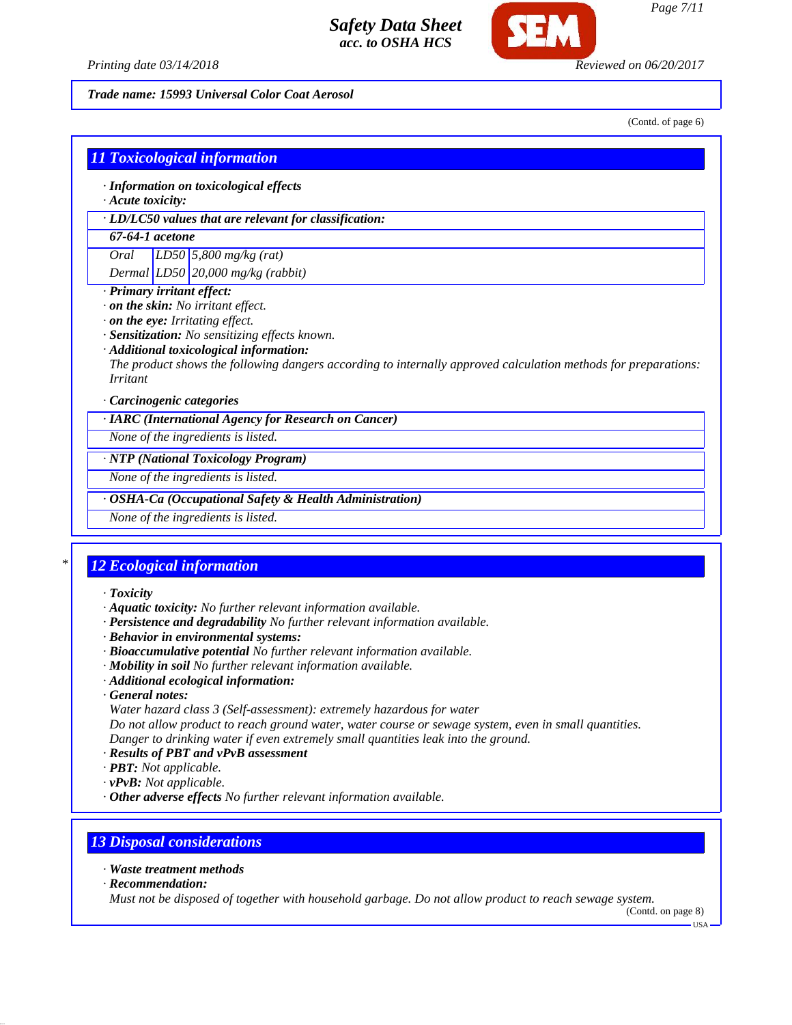

#### *Trade name: 15993 Universal Color Coat Aerosol*

(Contd. of page 6)

| $\cdot$ Acute toxicity:                                                                                                                                                                                                                                                                                                                                  | $\cdot$ Information on toxicological effects                 |  |
|----------------------------------------------------------------------------------------------------------------------------------------------------------------------------------------------------------------------------------------------------------------------------------------------------------------------------------------------------------|--------------------------------------------------------------|--|
|                                                                                                                                                                                                                                                                                                                                                          | $\cdot$ LD/LC50 values that are relevant for classification: |  |
| 67-64-1 acetone                                                                                                                                                                                                                                                                                                                                          |                                                              |  |
| Oral                                                                                                                                                                                                                                                                                                                                                     | LD50 5,800 mg/kg (rat)                                       |  |
|                                                                                                                                                                                                                                                                                                                                                          | Dermal $LD50$ 20,000 mg/kg (rabbit)                          |  |
| $\cdot$ Primary irritant effect:<br>$\cdot$ on the skin: No irritant effect.<br>$\cdot$ on the eye: Irritating effect.<br>· Sensitization: No sensitizing effects known.<br>· Additional toxicological information:<br>The product shows the following dangers according to internally approved calculation methods for preparations:<br><i>Irritant</i> |                                                              |  |
| $\cdot$ Carcinogenic categories                                                                                                                                                                                                                                                                                                                          |                                                              |  |
| · IARC (International Agency for Research on Cancer)                                                                                                                                                                                                                                                                                                     |                                                              |  |
| None of the ingredients is listed.                                                                                                                                                                                                                                                                                                                       |                                                              |  |

*None of the ingredients is listed.*

## *· OSHA-Ca (Occupational Safety & Health Administration)*

*None of the ingredients is listed.*

## *\* 12 Ecological information*

- *· Toxicity*
- *· Aquatic toxicity: No further relevant information available.*
- *· Persistence and degradability No further relevant information available.*
- *· Behavior in environmental systems:*
- *· Bioaccumulative potential No further relevant information available.*
- *· Mobility in soil No further relevant information available.*
- *· Additional ecological information:*
- *· General notes:*
- *Water hazard class 3 (Self-assessment): extremely hazardous for water*

*Do not allow product to reach ground water, water course or sewage system, even in small quantities. Danger to drinking water if even extremely small quantities leak into the ground.*

- *· Results of PBT and vPvB assessment*
- *· PBT: Not applicable.*
- *· vPvB: Not applicable.*
- *· Other adverse effects No further relevant information available.*

#### *13 Disposal considerations*

- *· Waste treatment methods*
- *· Recommendation:*

*Must not be disposed of together with household garbage. Do not allow product to reach sewage system.*

(Contd. on page 8) USA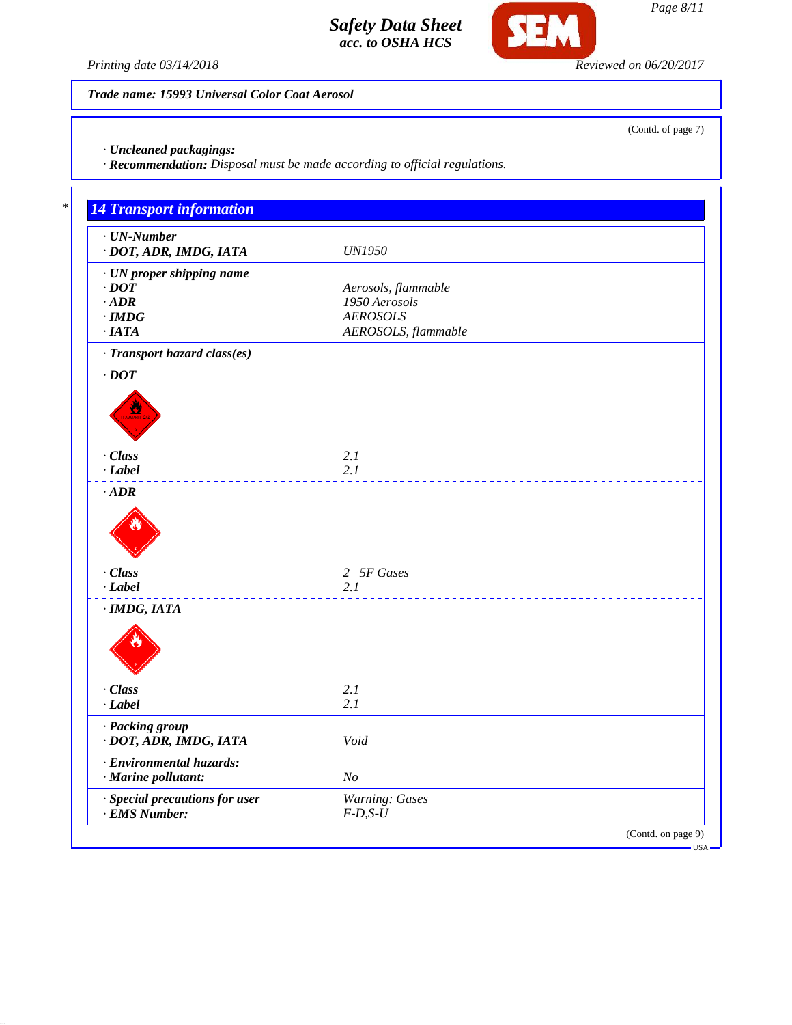

(Contd. of page 7)

*Printing date 03/14/2018 Reviewed on 06/20/2017*

*Trade name: 15993 Universal Color Coat Aerosol*

*· Uncleaned packagings:*

*· Recommendation: Disposal must be made according to official regulations.*

| · UN proper shipping name<br>$\cdot$ DOT<br>Aerosols, flammable<br>$\cdot$ ADR<br>1950 Aerosols<br><b>AEROSOLS</b><br>$\cdot$ IMDG<br>AEROSOLS, flammable<br>$\cdot$ IATA<br>· Transport hazard class(es)<br>$\cdot$ DOT<br>· Class<br>2.1<br>$-Label$<br>2.1<br>$\cdot$ ADR<br>· Class<br>2 5F Gases<br>$\cdot$ Label<br>2.1<br>$·$ IMDG, IATA<br>· Class<br>2.1<br>$-Label$<br>2.1<br>· Packing group<br>· DOT, ADR, IMDG, IATA<br>Void<br>· Environmental hazards:<br>$\cdot$ Marine pollutant:<br>N <sub>O</sub><br><b>Warning: Gases</b><br>· Special precautions for user | $\cdot$ UN-Number<br>· DOT, ADR, IMDG, IATA | <b>UN1950</b> |
|---------------------------------------------------------------------------------------------------------------------------------------------------------------------------------------------------------------------------------------------------------------------------------------------------------------------------------------------------------------------------------------------------------------------------------------------------------------------------------------------------------------------------------------------------------------------------------|---------------------------------------------|---------------|
|                                                                                                                                                                                                                                                                                                                                                                                                                                                                                                                                                                                 |                                             |               |
|                                                                                                                                                                                                                                                                                                                                                                                                                                                                                                                                                                                 |                                             |               |
|                                                                                                                                                                                                                                                                                                                                                                                                                                                                                                                                                                                 |                                             |               |
|                                                                                                                                                                                                                                                                                                                                                                                                                                                                                                                                                                                 |                                             |               |
|                                                                                                                                                                                                                                                                                                                                                                                                                                                                                                                                                                                 |                                             |               |
|                                                                                                                                                                                                                                                                                                                                                                                                                                                                                                                                                                                 |                                             |               |
|                                                                                                                                                                                                                                                                                                                                                                                                                                                                                                                                                                                 |                                             |               |
|                                                                                                                                                                                                                                                                                                                                                                                                                                                                                                                                                                                 |                                             |               |
|                                                                                                                                                                                                                                                                                                                                                                                                                                                                                                                                                                                 |                                             |               |
|                                                                                                                                                                                                                                                                                                                                                                                                                                                                                                                                                                                 |                                             |               |
|                                                                                                                                                                                                                                                                                                                                                                                                                                                                                                                                                                                 |                                             |               |
|                                                                                                                                                                                                                                                                                                                                                                                                                                                                                                                                                                                 |                                             |               |
|                                                                                                                                                                                                                                                                                                                                                                                                                                                                                                                                                                                 |                                             |               |
|                                                                                                                                                                                                                                                                                                                                                                                                                                                                                                                                                                                 |                                             |               |
|                                                                                                                                                                                                                                                                                                                                                                                                                                                                                                                                                                                 |                                             |               |
|                                                                                                                                                                                                                                                                                                                                                                                                                                                                                                                                                                                 |                                             |               |
|                                                                                                                                                                                                                                                                                                                                                                                                                                                                                                                                                                                 |                                             |               |
|                                                                                                                                                                                                                                                                                                                                                                                                                                                                                                                                                                                 |                                             |               |
|                                                                                                                                                                                                                                                                                                                                                                                                                                                                                                                                                                                 |                                             |               |
|                                                                                                                                                                                                                                                                                                                                                                                                                                                                                                                                                                                 |                                             |               |
|                                                                                                                                                                                                                                                                                                                                                                                                                                                                                                                                                                                 |                                             |               |
|                                                                                                                                                                                                                                                                                                                                                                                                                                                                                                                                                                                 |                                             |               |
|                                                                                                                                                                                                                                                                                                                                                                                                                                                                                                                                                                                 |                                             |               |
|                                                                                                                                                                                                                                                                                                                                                                                                                                                                                                                                                                                 |                                             |               |
|                                                                                                                                                                                                                                                                                                                                                                                                                                                                                                                                                                                 |                                             |               |
|                                                                                                                                                                                                                                                                                                                                                                                                                                                                                                                                                                                 |                                             |               |
|                                                                                                                                                                                                                                                                                                                                                                                                                                                                                                                                                                                 |                                             |               |
|                                                                                                                                                                                                                                                                                                                                                                                                                                                                                                                                                                                 |                                             |               |
|                                                                                                                                                                                                                                                                                                                                                                                                                                                                                                                                                                                 |                                             |               |
| · EMS Number:<br>$F-D, S-U$                                                                                                                                                                                                                                                                                                                                                                                                                                                                                                                                                     |                                             |               |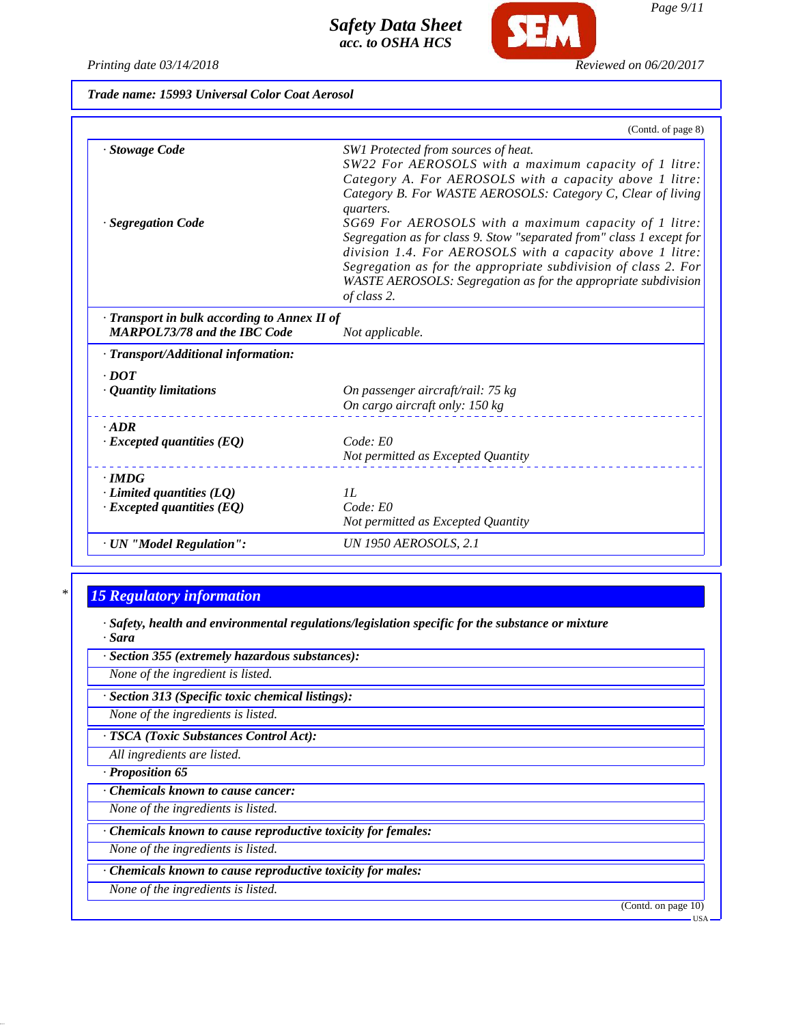| Trade name: 15993 Universal Color Coat Aerosol |  |
|------------------------------------------------|--|
|------------------------------------------------|--|

|                                                                                     | (Contd. of page 8)                                                                                                                                                                                                                                                                                                                                                                                                                                                                                                                                                                   |
|-------------------------------------------------------------------------------------|--------------------------------------------------------------------------------------------------------------------------------------------------------------------------------------------------------------------------------------------------------------------------------------------------------------------------------------------------------------------------------------------------------------------------------------------------------------------------------------------------------------------------------------------------------------------------------------|
| · Stowage Code<br>· Segregation Code                                                | SW1 Protected from sources of heat.<br>SW22 For AEROSOLS with a maximum capacity of 1 litre:<br>Category A. For AEROSOLS with a capacity above 1 litre:<br>Category B. For WASTE AEROSOLS: Category C, Clear of living<br>quarters.<br>SG69 For AEROSOLS with a maximum capacity of 1 litre:<br>Segregation as for class 9. Stow "separated from" class 1 except for<br>division 1.4. For AEROSOLS with a capacity above 1 litre:<br>Segregation as for the appropriate subdivision of class 2. For<br>WASTE AEROSOLS: Segregation as for the appropriate subdivision<br>of class 2. |
| · Transport in bulk according to Annex II of<br><b>MARPOL73/78 and the IBC Code</b> | Not applicable.                                                                                                                                                                                                                                                                                                                                                                                                                                                                                                                                                                      |
| · Transport/Additional information:                                                 |                                                                                                                                                                                                                                                                                                                                                                                                                                                                                                                                                                                      |
| $\cdot$ DOT                                                                         |                                                                                                                                                                                                                                                                                                                                                                                                                                                                                                                                                                                      |
| · Quantity limitations                                                              | On passenger aircraft/rail: 75 kg<br>On cargo aircraft only: 150 kg                                                                                                                                                                                                                                                                                                                                                                                                                                                                                                                  |
| $-ADR$                                                                              |                                                                                                                                                                                                                                                                                                                                                                                                                                                                                                                                                                                      |
| $\cdot$ Excepted quantities (EQ)                                                    | Code: E0<br>Not permitted as Excepted Quantity                                                                                                                                                                                                                                                                                                                                                                                                                                                                                                                                       |
| $\cdot$ IMDG                                                                        |                                                                                                                                                                                                                                                                                                                                                                                                                                                                                                                                                                                      |
| $\cdot$ Limited quantities (LQ)                                                     | II.                                                                                                                                                                                                                                                                                                                                                                                                                                                                                                                                                                                  |
| $\cdot$ Excepted quantities (EQ)                                                    | Code: E0<br>Not permitted as Excepted Quantity                                                                                                                                                                                                                                                                                                                                                                                                                                                                                                                                       |
| · UN "Model Regulation":                                                            | UN 1950 AEROSOLS, 2.1                                                                                                                                                                                                                                                                                                                                                                                                                                                                                                                                                                |

# *\* 15 Regulatory information*

*· Safety, health and environmental regulations/legislation specific for the substance or mixture · Sara*

*· Section 355 (extremely hazardous substances):*

*None of the ingredient is listed.*

*· Section 313 (Specific toxic chemical listings):*

*None of the ingredients is listed.*

*· TSCA (Toxic Substances Control Act):*

*All ingredients are listed.*

*· Proposition 65*

*· Chemicals known to cause cancer:*

*None of the ingredients is listed.*

*· Chemicals known to cause reproductive toxicity for females:*

*None of the ingredients is listed.*

*· Chemicals known to cause reproductive toxicity for males:*

*None of the ingredients is listed.*

(Contd. on page 10)

*Page 9/11*

**SEM** 

USA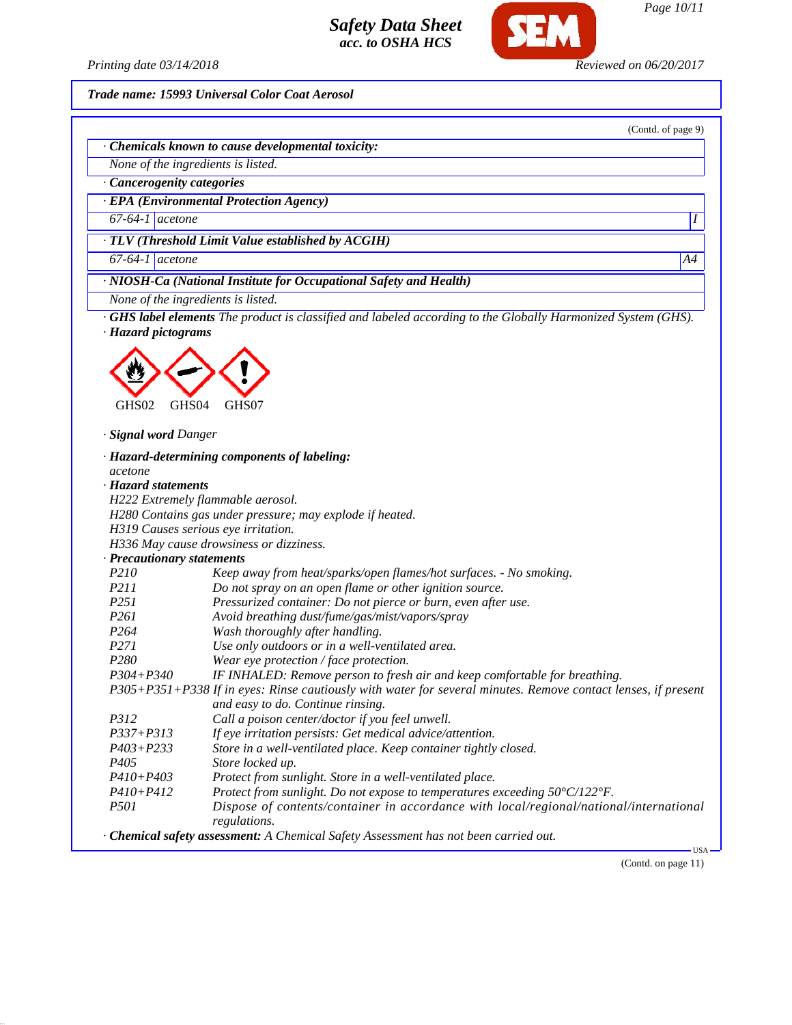

(Contd. of page 9)

*Printing date 03/14/2018 Reviewed on 06/20/2017*

*Trade name: 15993 Universal Color Coat Aerosol*

*· Chemicals known to cause developmental toxicity:*

*None of the ingredients is listed.*

*· Cancerogenity categories*

*· EPA (Environmental Protection Agency)*

*67-64-1 acetone I* 

*· TLV (Threshold Limit Value established by ACGIH)*

*67-64-1 acetone A4*

*· NIOSH-Ca (National Institute for Occupational Safety and Health)*

*None of the ingredients is listed.*

*· GHS label elements The product is classified and labeled according to the Globally Harmonized System (GHS). · Hazard pictograms*



*· Signal word Danger*

*· Hazard-determining components of labeling: acetone · Hazard statements H222 Extremely flammable aerosol. H280 Contains gas under pressure; may explode if heated. H319 Causes serious eye irritation. H336 May cause drowsiness or dizziness. · Precautionary statements P210 Keep away from heat/sparks/open flames/hot surfaces. - No smoking. P211 Do not spray on an open flame or other ignition source. P251 Pressurized container: Do not pierce or burn, even after use. P261 Avoid breathing dust/fume/gas/mist/vapors/spray P264 Wash thoroughly after handling. P271 Use only outdoors or in a well-ventilated area. P280 Wear eye protection / face protection. P304+P340 IF INHALED: Remove person to fresh air and keep comfortable for breathing. P305+P351+P338 If in eyes: Rinse cautiously with water for several minutes. Remove contact lenses, if present and easy to do. Continue rinsing. P312 Call a poison center/doctor if you feel unwell. P337+P313 If eye irritation persists: Get medical advice/attention. P403+P233 Store in a well-ventilated place. Keep container tightly closed. P405 Store locked up. P410+P403 Protect from sunlight. Store in a well-ventilated place. P410+P412 Protect from sunlight. Do not expose to temperatures exceeding 50°C/122°F. P501 Dispose of contents/container in accordance with local/regional/national/international regulations. · Chemical safety assessment: A Chemical Safety Assessment has not been carried out.* USA

(Contd. on page 11)